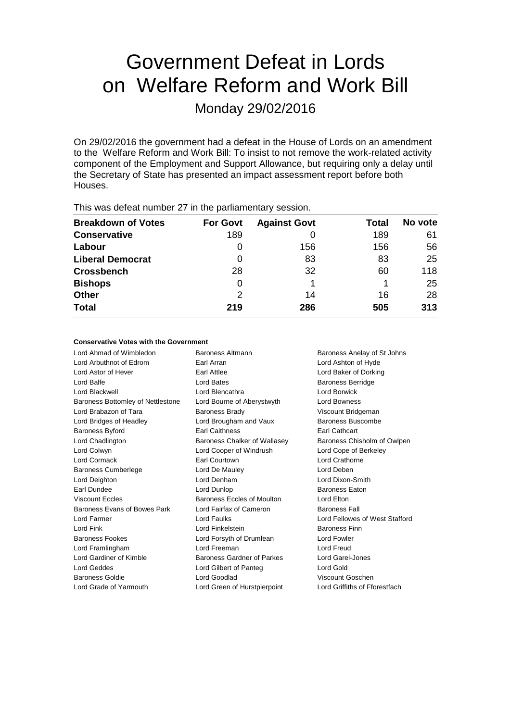# Government Defeat in Lords on Welfare Reform and Work Bill

Monday 29/02/2016

On 29/02/2016 the government had a defeat in the House of Lords on an amendment to the Welfare Reform and Work Bill: To insist to not remove the work-related activity component of the Employment and Support Allowance, but requiring only a delay until the Secretary of State has presented an impact assessment report before both Houses.

| <b>Breakdown of Votes</b> | <b>For Govt</b> | <b>Against Govt</b> | Total | No vote |
|---------------------------|-----------------|---------------------|-------|---------|
| <b>Conservative</b>       | 189             |                     | 189   | 61      |
| Labour                    | O               | 156                 | 156   | 56      |
| <b>Liberal Democrat</b>   | 0               | 83                  | 83    | 25      |
| <b>Crossbench</b>         | 28              | 32                  | 60    | 118     |
| <b>Bishops</b>            | 0               |                     |       | 25      |
| <b>Other</b>              | 2               | 14                  | 16    | 28      |
| <b>Total</b>              | 219             | 286                 | 505   | 313     |
|                           |                 |                     |       |         |

This was defeat number 27 in the parliamentary session.

### **Conservative Votes with the Government**

| Lord Ahmad of Wimbledon           | Baroness Altmann             | Baroness Anelay of St Johns    |  |
|-----------------------------------|------------------------------|--------------------------------|--|
| Lord Arbuthnot of Edrom           | Earl Arran                   | Lord Ashton of Hyde            |  |
| Lord Astor of Hever               | Earl Attlee                  | Lord Baker of Dorking          |  |
| Lord Balfe                        | Lord Bates                   | <b>Baroness Berridge</b>       |  |
| Lord Blackwell                    | Lord Blencathra              | Lord Borwick                   |  |
| Baroness Bottomley of Nettlestone | Lord Bourne of Aberystwyth   | Lord Bowness                   |  |
| Lord Brabazon of Tara             | <b>Baroness Brady</b>        | Viscount Bridgeman             |  |
| Lord Bridges of Headley           | Lord Brougham and Vaux       | Baroness Buscombe              |  |
| <b>Baroness Byford</b>            | Earl Caithness               | <b>Earl Cathcart</b>           |  |
| Lord Chadlington                  | Baroness Chalker of Wallasey | Baroness Chisholm of Owlpen    |  |
| Lord Colwyn                       | Lord Cooper of Windrush      | Lord Cope of Berkeley          |  |
| Lord Cormack                      | Earl Courtown                | Lord Crathorne                 |  |
| <b>Baroness Cumberlege</b>        | Lord De Mauley               | Lord Deben                     |  |
| Lord Deighton                     | Lord Denham                  | Lord Dixon-Smith               |  |
| Earl Dundee                       | Lord Dunlop                  | <b>Baroness Eaton</b>          |  |
| <b>Viscount Eccles</b>            | Baroness Eccles of Moulton   | Lord Elton                     |  |
| Baroness Evans of Bowes Park      | Lord Fairfax of Cameron      | <b>Baroness Fall</b>           |  |
| Lord Farmer                       | Lord Faulks                  | Lord Fellowes of West Stafford |  |
| Lord Fink                         | Lord Finkelstein             | <b>Baroness Finn</b>           |  |
| <b>Baroness Fookes</b>            | Lord Forsyth of Drumlean     | Lord Fowler                    |  |
| Lord Framlingham                  | Lord Freeman                 | Lord Freud                     |  |
| Lord Gardiner of Kimble           | Baroness Gardner of Parkes   | Lord Garel-Jones               |  |
| Lord Geddes                       | Lord Gilbert of Panteg       | Lord Gold                      |  |
| <b>Baroness Goldie</b>            | Lord Goodlad                 | Viscount Goschen               |  |
| Lord Grade of Yarmouth            | Lord Green of Hurstpierpoint | Lord Griffiths of Fforestfach  |  |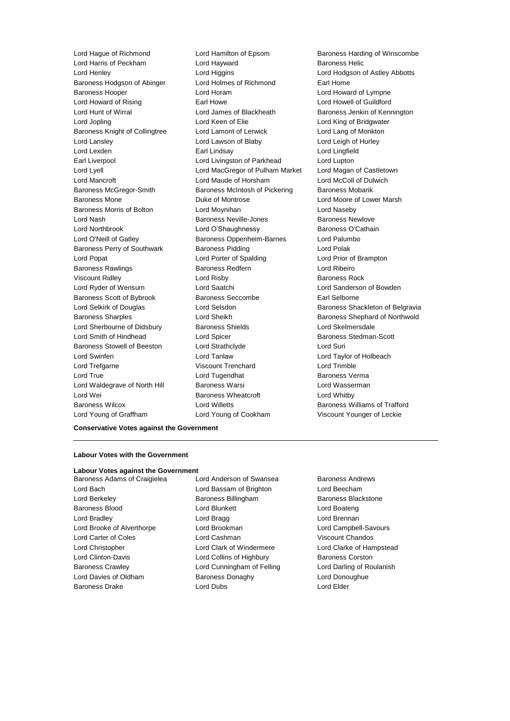Lord Harris of Peckham **Lord Hayward** Baroness Helic Lord Henley Lord Higgins Lord Hodgson of Astley Abbotts Baroness Hodgson of Abinger Lord Holmes of Richmond Earl Home Baroness Hooper **Lord Horam** Lord Horam **Lord Howard of Lympne** Lord Howard of Rising **Earl Howe Carl Howe Lord Howell of Guildford** Lord Hunt of Wirral **Lord James of Blackheath** Baroness Jenkin of Kennington Lord Jopling **Lord Keen of Elie** Lord Keen Club Lord King of Bridgwater Baroness Knight of Collingtree Lord Lamont of Lerwick Lord Lang of Monkton Lord Lansley Lord Lawson of Blaby Lord Leigh of Hurley Lord Lexden Earl Lindsay Lord Lingfield Earl Liverpool **Lord Livingston of Parkhead** Lord Lupton Lord Lyell Lord MacGregor of Pulham Market Lord Magan of Castletown Lord Mancroft Lord Maude of Horsham Lord McColl of Dulwich Baroness McGregor-Smith Baroness McIntosh of Pickering Baroness Mobarik Baroness Mone **Duke of Montrose** Lord Moore of Lower Marsh Baroness Morris of Bolton Lord Moynihan Lord Naseby Lord Nash **Baroness Neville-Jones** Baroness Newlove Lord Northbrook **Lord O'Shaughnessy** Baroness O'Cathain Lord O'Neill of Gatley **Baroness Oppenheim-Barnes** Lord Palumbo Baroness Perry of Southwark Baroness Pidding Controller Render States Lord Popat Lord Porter of Spalding Lord Prior of Brampton Baroness Rawlings Baroness Redfern Lord Ribeiro Viscount Ridley Lord Risby Baroness Rock Lord Ryder of Wensum Lord Saatchi Lord Sanderson of Bowden Baroness Scott of Bybrook Baroness Seccombe Earl Selborne Baroness Sharples **Lord Sheikh** Baroness Shephard of Northwold Lord Sherbourne of Didsbury Baroness Shields Lord Skelmersdale Lord Smith of Hindhead Lord Spicer Baroness Stedman-Scott Baroness Stowell of Beeston Lord Strathclyde Correspondence Lord Suri Lord Swinfen Lord Tanlaw Lord Taylor of Holbeach Lord Trefgarne Viscount Trenchard Lord Trimble Lord True Lord Tugendhat Baroness Verma Lord Waldegrave of North Hill Baroness Warsi **Lord Wasserman** Lord Wei **Baroness Wheatcroft** Cord Whitby Lord Whitby Baroness Wilcox Lord Willetts Baroness Williams of Trafford

Lord Young of Graffham Lord Young of Cookham Viscount Younger of Leckie

Lord Hague of Richmond Lord Hamilton of Epsom Baroness Harding of Winscombe Lord Selkirk of Douglas **Lord Selsdon** Baroness Shackleton of Belgravia

**Conservative Votes against the Government**

### **Labour Votes with the Government**

### **Labour Votes against the Government**

- Lord Bach Lord Bassam of Brighton Lord Beecham Lord Berkeley **Baroness Billingham** Baroness Blackstone Baroness Blood **Lord Blunkett** Lord Boateng Lord Boateng Lord Bradley **Lord Bragg Lord Bragg Lord Brennan** Lord Brooke of Alverthorpe Lord Brookman Lord Campbell-Savours Lord Carter of Coles Lord Cashman Viscount Chandos Lord Christopher Lord Clark of Windermere Lord Clarke of Hampstead Lord Clinton-Davis **Lord Collins of Highbury** Baroness Corston Baroness Crawley **Lord Cunningham of Felling Carol** Lord Darling of Roulanish Lord Davies of Oldham **Baroness Donaghy Baroness Donaghy** Lord Donoughue Baroness Drake Lord Dubs Lord Elder
- Baroness Adams of Craigielea Lord Anderson of Swansea Baroness Andrews
	-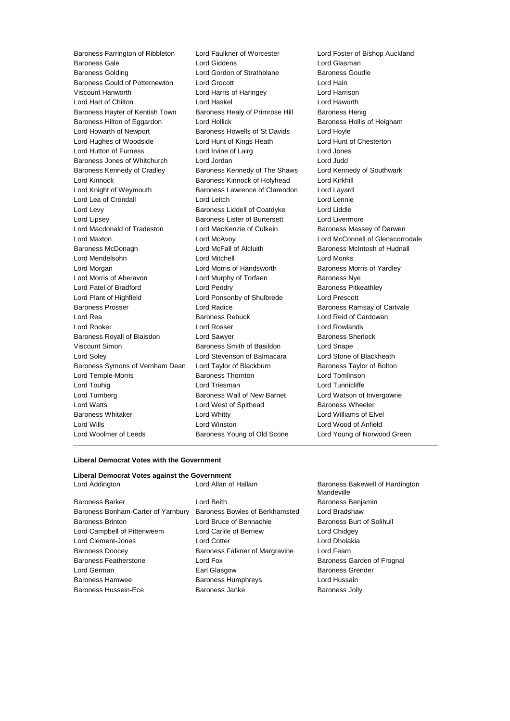Baroness Farrington of Ribbleton Lord Faulkner of Worcester Lord Foster of Bishop Auckland Baroness Gale Lord Giddens Lord Glasman Baroness Golding Lord Gordon of Strathblane Baroness Goudie Baroness Gould of Potternewton Lord Grocott Controller Lord Hain Viscount Hanworth Lord Harris of Haringey Lord Harrison Lord Hart of Chilton Lord Haskel Lord Haworth Baroness Hayter of Kentish Town Baroness Healy of Primrose Hill Baroness Henig Baroness Hilton of Eggardon Lord Hollick **Baroness Hollis of Heigham** Lord Howarth of Newport **Baroness Howells of St Davids** Lord Hoyle Lord Hughes of Woodside Lord Hunt of Kings Heath Lord Hunt of Chesterton Lord Hutton of Furness Lord Irvine of Lairg Lord Jones Baroness Jones of Whitchurch Lord Jordan Lord Judd Baroness Kennedy of Cradley Baroness Kennedy of The Shaws Lord Kennedy of Southwark Lord Kinnock Baroness Kinnock of Holyhead Lord Kirkhill Lord Knight of Weymouth Baroness Lawrence of Clarendon Lord Layard Lord Lea of Crondall Lord Leitch Lord Lennie Lord Levy Baroness Liddell of Coatdyke Lord Liddle Lord Lipsey **Baroness Lister of Burtersett** Lord Livermore Lord Macdonald of Tradeston Lord MacKenzie of Culkein Baroness Massey of Darwen Lord Maxton Lord McAvoy Lord McConnell of Glenscorrodale Baroness McDonagh Lord McFall of Alcluith Baroness McIntosh of Hudnall Lord Mendelsohn Lord Mitchell Lord Monks Lord Morgan **Lord Morris of Handsworth** Baroness Morris of Yardley Lord Morris of Aberavon Lord Murphy of Torfaen Baroness Nye Lord Patel of Bradford Lord Pendry Baroness Pitkeathley Lord Plant of Highfield Lord Ponsonby of Shulbrede Lord Prescott Baroness Prosser **Exercise Search Carty Addice** Baroness Ramsay of Cartvale Lord Rea **Baroness Rebuck** Lord Reid of Cardowan **Lord Reid** of Cardowan Lord Rooker Lord Rosser Lord Rowlands Baroness Royall of Blaisdon Lord Sawyer **Baroness Sherlock** Baroness Sherlock Viscount Simon **Baroness Smith of Basildon** Lord Snape Lord Soley Lord Stevenson of Balmacara Lord Stone of Blackheath Baroness Symons of Vernham Dean Lord Taylor of Blackburn Baroness Taylor of Bolton Lord Temple-Morris Baroness Thornton Lord Tomlinson Lord Touhig **Lord Triesman** Lord Triesman **Lord Tunnicliffe** Lord Turnberg **Baroness Wall of New Barnet** Lord Watson of Invergowrie Lord Watts **Lord West of Spithead** Baroness Wheeler Baroness Whitaker **Lord Whitty** Lord Whitty **Lord Williams of Elvel** Lord Wills Lord Winston Lord Wood of Anfield Lord Woolmer of Leeds Baroness Young of Old Scone Lord Young of Norwood Green

#### **Liberal Democrat Votes with the Government**

| Liberal Democrat Votes against the Government |                      |
|-----------------------------------------------|----------------------|
| Lord Addinaton                                | Lord Allan of Hallar |

Baroness Barker Lord Beith Baroness Benjamin Baroness Bonham-Carter of Yarnbury Baroness Bowles of Berkhamsted Lord Bradshaw Baroness Brinton Lord Bruce of Bennachie Baroness Burt of Solihull Lord Campbell of Pittenweem Lord Carlile of Berriew Lord Chidgey Lord Clement-Jones Lord Cotter Lord Dholakia Baroness Doocey Baroness Falkner of Margravine Lord Fearn Baroness Featherstone **Lord Fox** Lord Fox Baroness Garden of Frognal Lord German Earl Glasgow Baroness Grender Baroness Hamwee Baroness Humphreys Lord Hussain Baroness Hussein-Ece **Baroness Janke** Baroness Jolly

m Baroness Bakewell of Hardington Mandeville